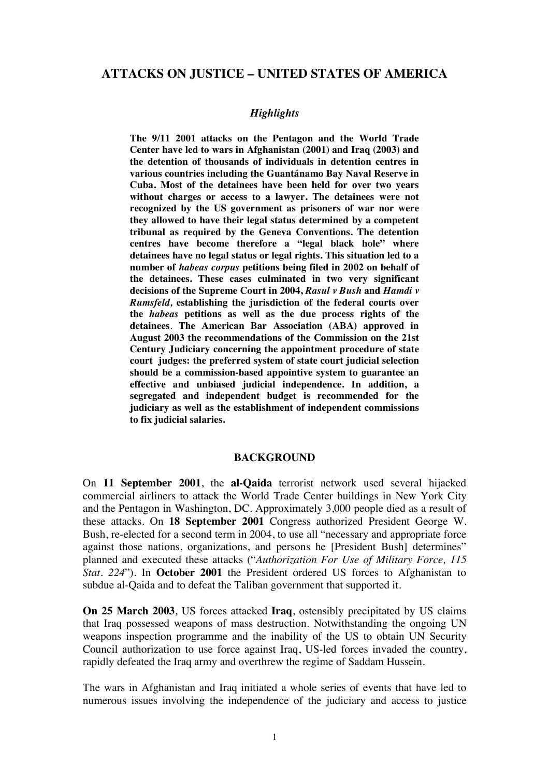# **ATTACKS ON JUSTICE – UNITED STATES OF AMERICA**

### *Highlights*

**The 9/11 2001 attacks on the Pentagon and the World Trade Center have led to wars in Afghanistan (2001) and Iraq (2003) and the detention of thousands of individuals in detention centres in various countries including the Guantánamo Bay Naval Reserve in Cuba. Most of the detainees have been held for over two years without charges or access to a lawyer. The detainees were not recognized by the US government as prisoners of war nor were they allowed to have their legal status determined by a competent tribunal as required by the Geneva Conventions. The detention centres have become therefore a "legal black hole" where detainees have no legal status or legal rights. This situation led to a number of** *habeas corpus* **petitions being filed in 2002 on behalf of the detainees. These cases culminated in two very significant decisions of the Supreme Court in 2004,** *Rasul v Bush* **and** *Hamdi v Rumsfeld,* **establishing the jurisdiction of the federal courts over the** *habeas* **petitions as well as the due process rights of the detainees**. **The American Bar Association (ABA) approved in August 2003 the recommendations of the Commission on the 21st Century Judiciary concerning the appointment procedure of state court judges: the preferred system of state court judicial selection should be a commission-based appointive system to guarantee an effective and unbiased judicial independence. In addition, a segregated and independent budget is recommended for the judiciary as well as the establishment of independent commissions to fix judicial salaries.** 

#### **BACKGROUND**

On **11 September 2001**, the **al-Qaida** terrorist network used several hijacked commercial airliners to attack the World Trade Center buildings in New York City and the Pentagon in Washington, DC. Approximately 3,000 people died as a result of these attacks. On **18 September 2001** Congress authorized President George W. Bush, re-elected for a second term in 2004, to use all "necessary and appropriate force against those nations, organizations, and persons he [President Bush] determines" planned and executed these attacks ("*Authorization For Use of Military Force, 115 Stat. 224*"). In **October 2001** the President ordered US forces to Afghanistan to subdue al-Qaida and to defeat the Taliban government that supported it.

**On 25 March 2003**, US forces attacked **Iraq**, ostensibly precipitated by US claims that Iraq possessed weapons of mass destruction. Notwithstanding the ongoing UN weapons inspection programme and the inability of the US to obtain UN Security Council authorization to use force against Iraq, US-led forces invaded the country, rapidly defeated the Iraq army and overthrew the regime of Saddam Hussein.

The wars in Afghanistan and Iraq initiated a whole series of events that have led to numerous issues involving the independence of the judiciary and access to justice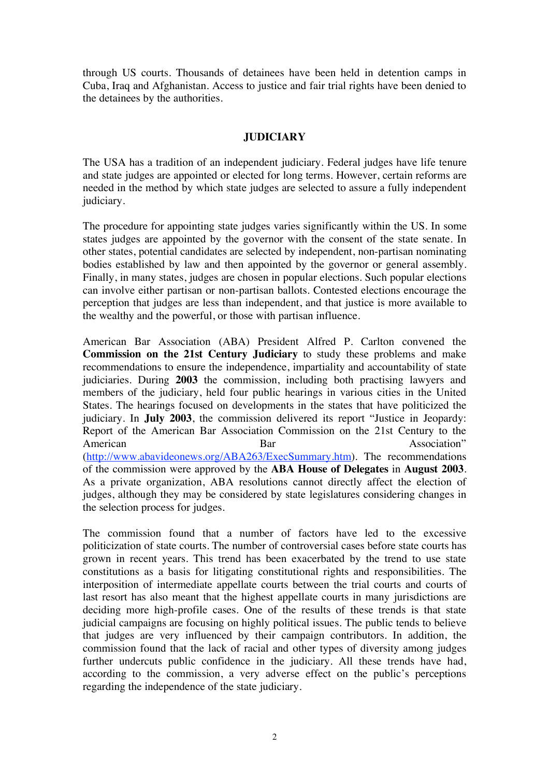through US courts. Thousands of detainees have been held in detention camps in Cuba, Iraq and Afghanistan. Access to justice and fair trial rights have been denied to the detainees by the authorities.

## **JUDICIARY**

The USA has a tradition of an independent judiciary. Federal judges have life tenure and state judges are appointed or elected for long terms. However, certain reforms are needed in the method by which state judges are selected to assure a fully independent judiciary.

The procedure for appointing state judges varies significantly within the US. In some states judges are appointed by the governor with the consent of the state senate. In other states, potential candidates are selected by independent, non-partisan nominating bodies established by law and then appointed by the governor or general assembly. Finally, in many states, judges are chosen in popular elections. Such popular elections can involve either partisan or non-partisan ballots. Contested elections encourage the perception that judges are less than independent, and that justice is more available to the wealthy and the powerful, or those with partisan influence.

American Bar Association (ABA) President Alfred P. Carlton convened the **Commission on the 21st Century Judiciary** to study these problems and make recommendations to ensure the independence, impartiality and accountability of state judiciaries. During **2003** the commission, including both practising lawyers and members of the judiciary, held four public hearings in various cities in the United States. The hearings focused on developments in the states that have politicized the judiciary. In **July 2003**, the commission delivered its report "Justice in Jeopardy: Report of the American Bar Association Commission on the 21st Century to the American<br>Bar Association'' Bar Association" (http://www.abavideonews.org/ABA263/ExecSummary.htm). The recommendations of the commission were approved by the **ABA House of Delegates** in **August 2003**. As a private organization, ABA resolutions cannot directly affect the election of judges, although they may be considered by state legislatures considering changes in the selection process for judges.

The commission found that a number of factors have led to the excessive politicization of state courts. The number of controversial cases before state courts has grown in recent years. This trend has been exacerbated by the trend to use state constitutions as a basis for litigating constitutional rights and responsibilities. The interposition of intermediate appellate courts between the trial courts and courts of last resort has also meant that the highest appellate courts in many jurisdictions are deciding more high-profile cases. One of the results of these trends is that state judicial campaigns are focusing on highly political issues. The public tends to believe that judges are very influenced by their campaign contributors. In addition, the commission found that the lack of racial and other types of diversity among judges further undercuts public confidence in the judiciary. All these trends have had, according to the commission, a very adverse effect on the public's perceptions regarding the independence of the state judiciary.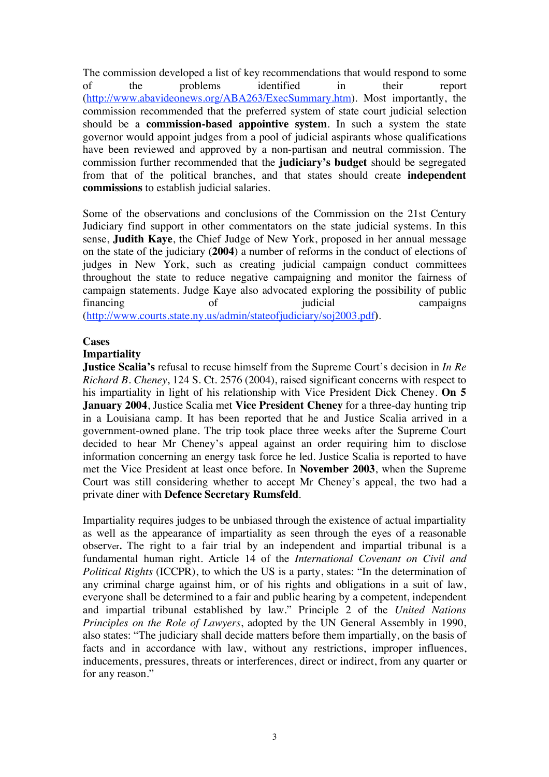The commission developed a list of key recommendations that would respond to some of the problems identified in their report (http://www.abavideonews.org/ABA263/ExecSummary.htm). Most importantly, the commission recommended that the preferred system of state court judicial selection should be a **commission-based appointive system**. In such a system the state governor would appoint judges from a pool of judicial aspirants whose qualifications have been reviewed and approved by a non-partisan and neutral commission. The commission further recommended that the **judiciary's budget** should be segregated from that of the political branches, and that states should create **independent commissions** to establish judicial salaries.

Some of the observations and conclusions of the Commission on the 21st Century Judiciary find support in other commentators on the state judicial systems. In this sense, **Judith Kaye**, the Chief Judge of New York, proposed in her annual message on the state of the judiciary (**2004**) a number of reforms in the conduct of elections of judges in New York, such as creating judicial campaign conduct committees throughout the state to reduce negative campaigning and monitor the fairness of campaign statements. Judge Kaye also advocated exploring the possibility of public financing of of indicial campaigns (http://www.courts.state.ny.us/admin/stateofjudiciary/soj2003.pdf**)**.

#### **Cases**

#### **Impartiality**

**Justice Scalia's** refusal to recuse himself from the Supreme Court's decision in *In Re Richard B. Cheney*, 124 S. Ct. 2576 (2004), raised significant concerns with respect to his impartiality in light of his relationship with Vice President Dick Cheney. **On 5 January 2004**, Justice Scalia met **Vice President Cheney** for a three-day hunting trip in a Louisiana camp. It has been reported that he and Justice Scalia arrived in a government-owned plane. The trip took place three weeks after the Supreme Court decided to hear Mr Cheney's appeal against an order requiring him to disclose information concerning an energy task force he led. Justice Scalia is reported to have met the Vice President at least once before. In **November 2003**, when the Supreme Court was still considering whether to accept Mr Cheney's appeal, the two had a private diner with **Defence Secretary Rumsfeld**.

Impartiality requires judges to be unbiased through the existence of actual impartiality as well as the appearance of impartiality as seen through the eyes of a reasonable observer**.** The right to a fair trial by an independent and impartial tribunal is a fundamental human right. Article 14 of the *International Covenant on Civil and Political Rights* (ICCPR), to which the US is a party, states: "In the determination of any criminal charge against him, or of his rights and obligations in a suit of law, everyone shall be determined to a fair and public hearing by a competent, independent and impartial tribunal established by law." Principle 2 of the *United Nations Principles on the Role of Lawyers*, adopted by the UN General Assembly in 1990, also states: "The judiciary shall decide matters before them impartially, on the basis of facts and in accordance with law, without any restrictions, improper influences, inducements, pressures, threats or interferences, direct or indirect, from any quarter or for any reason."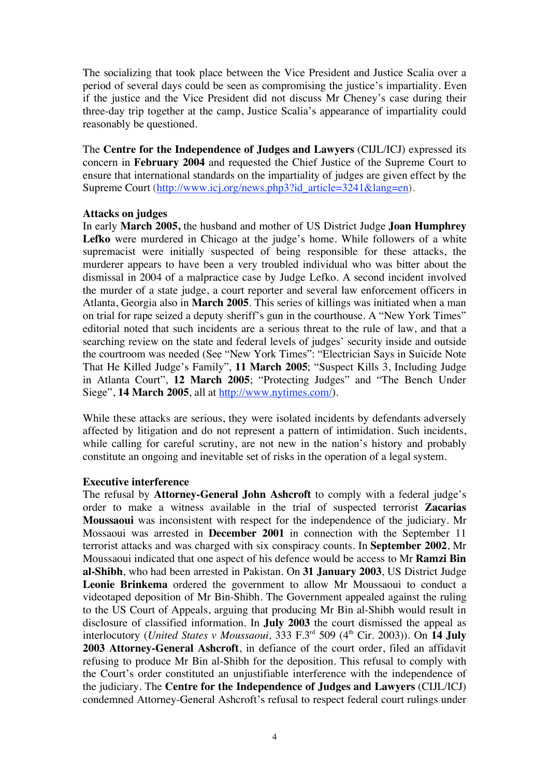The socializing that took place between the Vice President and Justice Scalia over a period of several days could be seen as compromising the justice's impartiality. Even if the justice and the Vice President did not discuss Mr Cheney's case during their three-day trip together at the camp, Justice Scalia's appearance of impartiality could reasonably be questioned.

The **Centre for the Independence of Judges and Lawyers** (CIJL/ICJ) expressed its concern in **February 2004** and requested the Chief Justice of the Supreme Court to ensure that international standards on the impartiality of judges are given effect by the Supreme Court (http://www.icj.org/news.php3?id\_article=3241&lang=en).

### **Attacks on judges**

In early **March 2005,** the husband and mother of US District Judge **Joan Humphrey Lefko** were murdered in Chicago at the judge's home. While followers of a white supremacist were initially suspected of being responsible for these attacks, the murderer appears to have been a very troubled individual who was bitter about the dismissal in 2004 of a malpractice case by Judge Lefko. A second incident involved the murder of a state judge, a court reporter and several law enforcement officers in Atlanta, Georgia also in **March 2005**. This series of killings was initiated when a man on trial for rape seized a deputy sheriff's gun in the courthouse. A "New York Times" editorial noted that such incidents are a serious threat to the rule of law, and that a searching review on the state and federal levels of judges' security inside and outside the courtroom was needed (See "New York Times": "Electrician Says in Suicide Note That He Killed Judge's Family", **11 March 2005**; "Suspect Kills 3, Including Judge in Atlanta Court", **12 March 2005**; "Protecting Judges" and "The Bench Under Siege", **14 March 2005**, all at http://www.nytimes.com/).

While these attacks are serious, they were isolated incidents by defendants adversely affected by litigation and do not represent a pattern of intimidation. Such incidents, while calling for careful scrutiny, are not new in the nation's history and probably constitute an ongoing and inevitable set of risks in the operation of a legal system.

#### **Executive interference**

The refusal by **Attorney-General John Ashcroft** to comply with a federal judge's order to make a witness available in the trial of suspected terrorist **Zacarias Moussaoui** was inconsistent with respect for the independence of the judiciary. Mr Mossaoui was arrested in **December 2001** in connection with the September 11 terrorist attacks and was charged with six conspiracy counts. In **September 2002**, Mr Moussaoui indicated that one aspect of his defence would be access to Mr **Ramzi Bin al-Shibh**, who had been arrested in Pakistan. On **31 January 2003**, US District Judge **Leonie Brinkema** ordered the government to allow Mr Moussaoui to conduct a videotaped deposition of Mr Bin-Shibh. The Government appealed against the ruling to the US Court of Appeals, arguing that producing Mr Bin al-Shibh would result in disclosure of classified information. In **July 2003** the court dismissed the appeal as interlocutory (*United States v Moussaoui*, 333 F.3<sup>rd</sup> 509 (4<sup>th</sup> Cir. 2003)). On 14 July **2003 Attorney-General Ashcroft**, in defiance of the court order, filed an affidavit refusing to produce Mr Bin al-Shibh for the deposition. This refusal to comply with the Court's order constituted an unjustifiable interference with the independence of the judiciary. The **Centre for the Independence of Judges and Lawyers** (CIJL/ICJ) condemned Attorney-General Ashcroft's refusal to respect federal court rulings under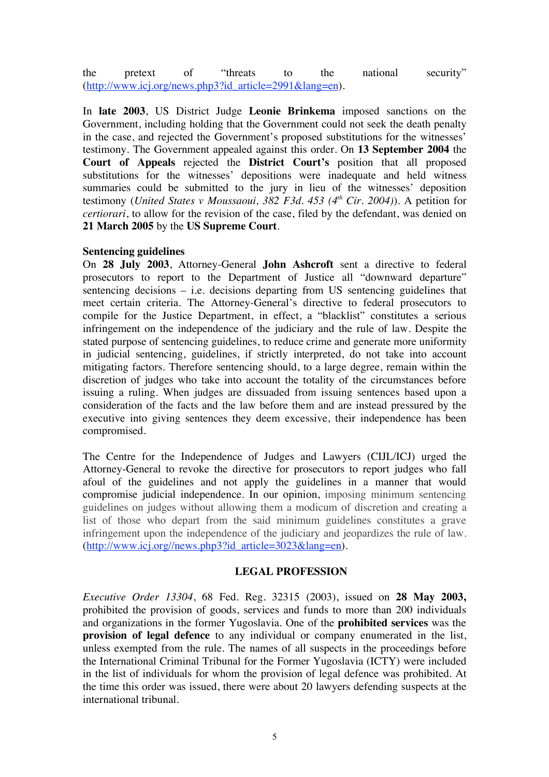the pretext of "threats to the national security" (http://www.icj.org/news.php3?id\_article=2991&lang=en).

In **late 2003**, US District Judge **Leonie Brinkema** imposed sanctions on the Government, including holding that the Government could not seek the death penalty in the case, and rejected the Government's proposed substitutions for the witnesses' testimony. The Government appealed against this order. On **13 September 2004** the **Court of Appeals** rejected the **District Court's** position that all proposed substitutions for the witnesses' depositions were inadequate and held witness summaries could be submitted to the jury in lieu of the witnesses' deposition testimony (*United States v Moussaoui, 382 F3d. 453 (4th Cir. 2004)*). A petition for *certiorari*, to allow for the revision of the case, filed by the defendant, was denied on **21 March 2005** by the **US Supreme Court**.

### **Sentencing guidelines**

On **28 July 2003**, Attorney-General **John Ashcroft** sent a directive to federal prosecutors to report to the Department of Justice all "downward departure" sentencing decisions – i.e. decisions departing from US sentencing guidelines that meet certain criteria. The Attorney-General's directive to federal prosecutors to compile for the Justice Department, in effect, a "blacklist" constitutes a serious infringement on the independence of the judiciary and the rule of law. Despite the stated purpose of sentencing guidelines, to reduce crime and generate more uniformity in judicial sentencing, guidelines, if strictly interpreted, do not take into account mitigating factors. Therefore sentencing should, to a large degree, remain within the discretion of judges who take into account the totality of the circumstances before issuing a ruling. When judges are dissuaded from issuing sentences based upon a consideration of the facts and the law before them and are instead pressured by the executive into giving sentences they deem excessive, their independence has been compromised.

The Centre for the Independence of Judges and Lawyers (CIJL/ICJ) urged the Attorney-General to revoke the directive for prosecutors to report judges who fall afoul of the guidelines and not apply the guidelines in a manner that would compromise judicial independence. In our opinion, imposing minimum sentencing guidelines on judges without allowing them a modicum of discretion and creating a list of those who depart from the said minimum guidelines constitutes a grave infringement upon the independence of the judiciary and jeopardizes the rule of law. (http://www.icj.org//news.php3?id\_article=3023&lang=en).

## **LEGAL PROFESSION**

*Executive Order 13304*, 68 Fed. Reg. 32315 (2003), issued on **28 May 2003,**  prohibited the provision of goods, services and funds to more than 200 individuals and organizations in the former Yugoslavia. One of the **prohibited services** was the **provision of legal defence** to any individual or company enumerated in the list, unless exempted from the rule. The names of all suspects in the proceedings before the International Criminal Tribunal for the Former Yugoslavia (ICTY) were included in the list of individuals for whom the provision of legal defence was prohibited. At the time this order was issued, there were about 20 lawyers defending suspects at the international tribunal.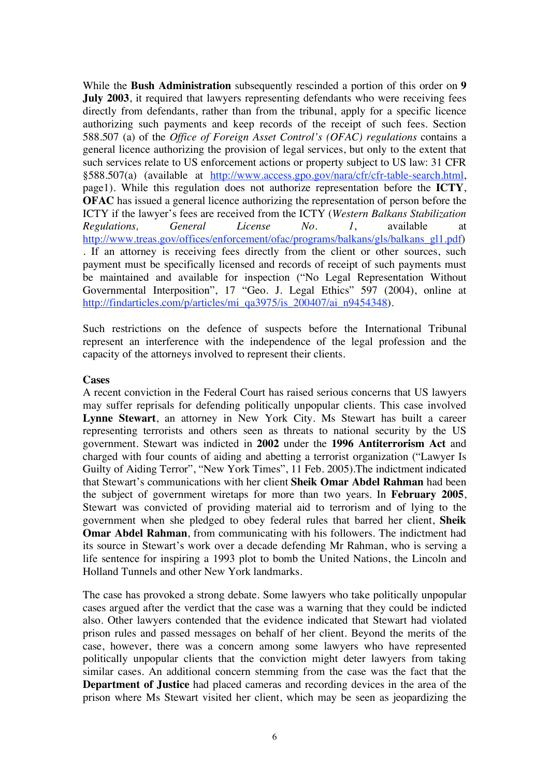While the **Bush Administration** subsequently rescinded a portion of this order on **9 July 2003**, it required that lawyers representing defendants who were receiving fees directly from defendants, rather than from the tribunal, apply for a specific licence authorizing such payments and keep records of the receipt of such fees. Section 588.507 (a) of the *Office of Foreign Asset Control's (OFAC) regulations* contains a general licence authorizing the provision of legal services, but only to the extent that such services relate to US enforcement actions or property subject to US law: 31 CFR §588.507(a) (available at http://www.access.gpo.gov/nara/cfr/cfr-table-search.html, page1). While this regulation does not authorize representation before the **ICTY**, **OFAC** has issued a general licence authorizing the representation of person before the ICTY if the lawyer's fees are received from the ICTY (*Western Balkans Stabilization Regulations, General License No. 1*, available at http://www.treas.gov/offices/enforcement/ofac/programs/balkans/gls/balkans\_gl1.pdf) . If an attorney is receiving fees directly from the client or other sources, such payment must be specifically licensed and records of receipt of such payments must be maintained and available for inspection ("No Legal Representation Without Governmental Interposition", 17 "Geo. J. Legal Ethics" 597 (2004), online at http://findarticles.com/p/articles/mi\_qa3975/is\_200407/ai\_n9454348).

Such restrictions on the defence of suspects before the International Tribunal represent an interference with the independence of the legal profession and the capacity of the attorneys involved to represent their clients.

### **Cases**

A recent conviction in the Federal Court has raised serious concerns that US lawyers may suffer reprisals for defending politically unpopular clients. This case involved **Lynne Stewart**, an attorney in New York City. Ms Stewart has built a career representing terrorists and others seen as threats to national security by the US government. Stewart was indicted in **2002** under the **1996 Antiterrorism Act** and charged with four counts of aiding and abetting a terrorist organization ("Lawyer Is Guilty of Aiding Terror", "New York Times", 11 Feb. 2005).The indictment indicated that Stewart's communications with her client **Sheik Omar Abdel Rahman** had been the subject of government wiretaps for more than two years. In **February 2005**, Stewart was convicted of providing material aid to terrorism and of lying to the government when she pledged to obey federal rules that barred her client, **Sheik Omar Abdel Rahman**, from communicating with his followers. The indictment had its source in Stewart's work over a decade defending Mr Rahman, who is serving a life sentence for inspiring a 1993 plot to bomb the United Nations, the Lincoln and Holland Tunnels and other New York landmarks.

The case has provoked a strong debate. Some lawyers who take politically unpopular cases argued after the verdict that the case was a warning that they could be indicted also. Other lawyers contended that the evidence indicated that Stewart had violated prison rules and passed messages on behalf of her client. Beyond the merits of the case, however, there was a concern among some lawyers who have represented politically unpopular clients that the conviction might deter lawyers from taking similar cases. An additional concern stemming from the case was the fact that the **Department of Justice** had placed cameras and recording devices in the area of the prison where Ms Stewart visited her client, which may be seen as jeopardizing the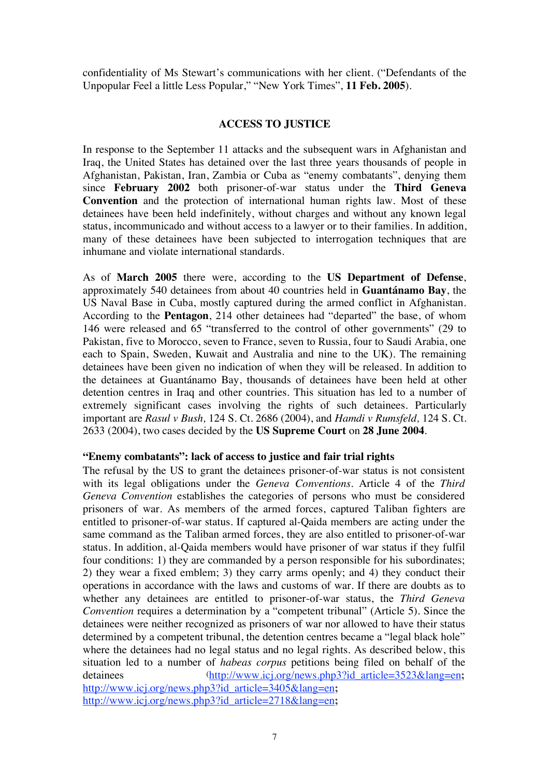confidentiality of Ms Stewart's communications with her client. ("Defendants of the Unpopular Feel a little Less Popular," "New York Times", **11 Feb. 2005**).

## **ACCESS TO JUSTICE**

In response to the September 11 attacks and the subsequent wars in Afghanistan and Iraq, the United States has detained over the last three years thousands of people in Afghanistan, Pakistan, Iran, Zambia or Cuba as "enemy combatants", denying them since **February 2002** both prisoner-of-war status under the **Third Geneva Convention** and the protection of international human rights law. Most of these detainees have been held indefinitely, without charges and without any known legal status, incommunicado and without access to a lawyer or to their families. In addition, many of these detainees have been subjected to interrogation techniques that are inhumane and violate international standards.

As of **March 2005** there were, according to the **US Department of Defense**, approximately 540 detainees from about 40 countries held in **Guantánamo Bay**, the US Naval Base in Cuba, mostly captured during the armed conflict in Afghanistan. According to the **Pentagon**, 214 other detainees had "departed" the base, of whom 146 were released and 65 "transferred to the control of other governments" (29 to Pakistan, five to Morocco, seven to France, seven to Russia, four to Saudi Arabia, one each to Spain, Sweden, Kuwait and Australia and nine to the UK). The remaining detainees have been given no indication of when they will be released. In addition to the detainees at Guantánamo Bay, thousands of detainees have been held at other detention centres in Iraq and other countries. This situation has led to a number of extremely significant cases involving the rights of such detainees. Particularly important are *Rasul v Bush,* 124 S. Ct. 2686 (2004), and *Hamdi v Rumsfeld,* 124 S. Ct. 2633 (2004), two cases decided by the **US Supreme Court** on **28 June 2004**.

## **"Enemy combatants": lack of access to justice and fair trial rights**

The refusal by the US to grant the detainees prisoner-of-war status is not consistent with its legal obligations under the *Geneva Conventions*. Article 4 of the *Third Geneva Convention* establishes the categories of persons who must be considered prisoners of war. As members of the armed forces, captured Taliban fighters are entitled to prisoner-of-war status. If captured al-Qaida members are acting under the same command as the Taliban armed forces, they are also entitled to prisoner-of-war status. In addition, al-Qaida members would have prisoner of war status if they fulfil four conditions: 1) they are commanded by a person responsible for his subordinates; 2) they wear a fixed emblem; 3) they carry arms openly; and 4) they conduct their operations in accordance with the laws and customs of war. If there are doubts as to whether any detainees are entitled to prisoner-of-war status, the *Third Geneva Convention* requires a determination by a "competent tribunal" (Article 5). Since the detainees were neither recognized as prisoners of war nor allowed to have their status determined by a competent tribunal, the detention centres became a "legal black hole" where the detainees had no legal status and no legal rights. As described below, this situation led to a number of *habeas corpus* petitions being filed on behalf of the detainees (http://www.icj.org/news.php3?id\_article=3523&lang=en; http://www.icj.org/news.php3?id\_article=3405&lang=en**;**  http://www.icj.org/news.php3?id\_article=2718&lang=en**;**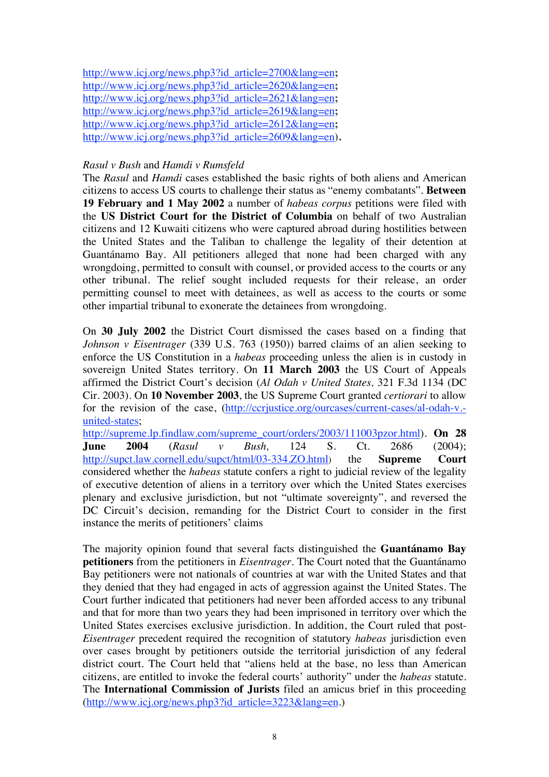http://www.icj.org/news.php3?id\_article=2700&lang=en**;**  http://www.icj.org/news.php3?id\_article=2620&lang=en**;**  http://www.icj.org/news.php3?id\_article=2621&lang=en**;**  http://www.icj.org/news.php3?id\_article=2619&lang=en**;**  http://www.icj.org/news.php3?id\_article=2612&lang=en**;**  http://www.icj.org/news.php3?id\_article=2609&lang=en**).**

# *Rasul v Bush* and *Hamdi v Rumsfeld*

The *Rasul* and *Hamdi* cases established the basic rights of both aliens and American citizens to access US courts to challenge their status as "enemy combatants". **Between 19 February and 1 May 2002** a number of *habeas corpus* petitions were filed with the **US District Court for the District of Columbia** on behalf of two Australian citizens and 12 Kuwaiti citizens who were captured abroad during hostilities between the United States and the Taliban to challenge the legality of their detention at Guantánamo Bay. All petitioners alleged that none had been charged with any wrongdoing, permitted to consult with counsel, or provided access to the courts or any other tribunal. The relief sought included requests for their release, an order permitting counsel to meet with detainees, as well as access to the courts or some other impartial tribunal to exonerate the detainees from wrongdoing.

On **30 July 2002** the District Court dismissed the cases based on a finding that *Johnson v Eisentrager* (339 U.S. 763 (1950)) barred claims of an alien seeking to enforce the US Constitution in a *habeas* proceeding unless the alien is in custody in sovereign United States territory. On **11 March 2003** the US Court of Appeals affirmed the District Court's decision (*Al Odah v United States,* 321 F.3d 1134 (DC Cir. 2003). On **10 November 2003**, the US Supreme Court granted *certiorari* to allow for the revision of the case, (http://ccrjustice.org/ourcases/current-cases/al-odah-v.united-states;

http://supreme.lp.findlaw.com/supreme\_court/orders/2003/111003pzor.html). **On 28 June 2004** (*Rasul v Bush,* 124 S. Ct. 2686 (2004); http://supct.law.cornell.edu/supct/html/03-334.ZO.html) the **Supreme Court** considered whether the *habeas* statute confers a right to judicial review of the legality of executive detention of aliens in a territory over which the United States exercises plenary and exclusive jurisdiction, but not "ultimate sovereignty", and reversed the DC Circuit's decision, remanding for the District Court to consider in the first instance the merits of petitioners' claims

The majority opinion found that several facts distinguished the **Guantánamo Bay petitioners** from the petitioners in *Eisentrager*. The Court noted that the Guantánamo Bay petitioners were not nationals of countries at war with the United States and that they denied that they had engaged in acts of aggression against the United States. The Court further indicated that petitioners had never been afforded access to any tribunal and that for more than two years they had been imprisoned in territory over which the United States exercises exclusive jurisdiction. In addition, the Court ruled that post-*Eisentrager* precedent required the recognition of statutory *habeas* jurisdiction even over cases brought by petitioners outside the territorial jurisdiction of any federal district court. The Court held that "aliens held at the base, no less than American citizens, are entitled to invoke the federal courts' authority" under the *habeas* statute. The **International Commission of Jurists** filed an amicus brief in this proceeding  $(http://www.ici.org/news.php3?id article=3223⟨=en.)$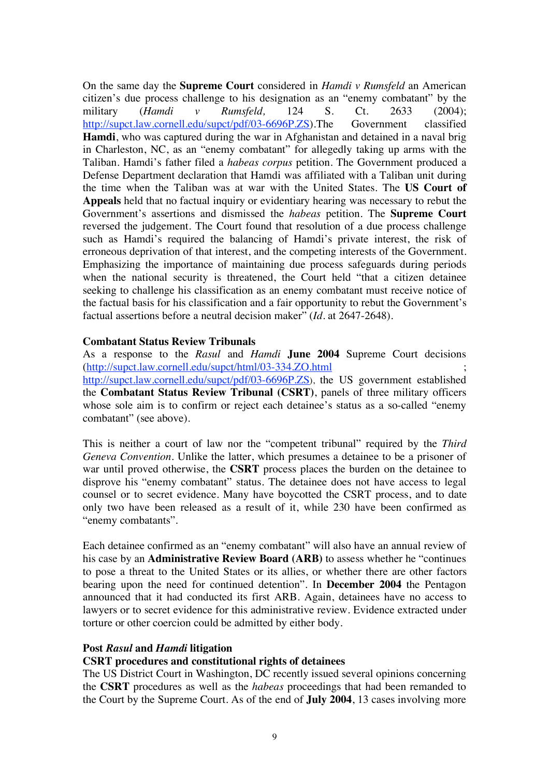On the same day the **Supreme Court** considered in *Hamdi v Rumsfeld* an American citizen's due process challenge to his designation as an "enemy combatant" by the military (*Hamdi v Rumsfeld,* 124 S. Ct. 2633 (2004); http://supct.law.cornell.edu/supct/pdf/03-6696P.ZS).The Government classified **Hamdi**, who was captured during the war in Afghanistan and detained in a naval brig in Charleston, NC, as an "enemy combatant" for allegedly taking up arms with the Taliban. Hamdi's father filed a *habeas corpus* petition. The Government produced a Defense Department declaration that Hamdi was affiliated with a Taliban unit during the time when the Taliban was at war with the United States. The **US Court of Appeals** held that no factual inquiry or evidentiary hearing was necessary to rebut the Government's assertions and dismissed the *habeas* petition. The **Supreme Court** reversed the judgement. The Court found that resolution of a due process challenge such as Hamdi's required the balancing of Hamdi's private interest, the risk of erroneous deprivation of that interest, and the competing interests of the Government. Emphasizing the importance of maintaining due process safeguards during periods when the national security is threatened, the Court held "that a citizen detainee seeking to challenge his classification as an enemy combatant must receive notice of the factual basis for his classification and a fair opportunity to rebut the Government's factual assertions before a neutral decision maker" (*Id*. at 2647-2648).

### **Combatant Status Review Tribunals**

As a response to the *Rasul* and *Hamdi* **June 2004** Supreme Court decisions (http://supct.law.cornell.edu/supct/html/03-334.ZO.html ; http://supct.law.cornell.edu/supct/pdf/03-6696P.ZS), the US government established the **Combatant Status Review Tribunal (CSRT)**, panels of three military officers whose sole aim is to confirm or reject each detainee's status as a so-called "enemy combatant" (see above).

This is neither a court of law nor the "competent tribunal" required by the *Third Geneva Convention*. Unlike the latter, which presumes a detainee to be a prisoner of war until proved otherwise, the **CSRT** process places the burden on the detainee to disprove his "enemy combatant" status. The detainee does not have access to legal counsel or to secret evidence. Many have boycotted the CSRT process, and to date only two have been released as a result of it, while 230 have been confirmed as "enemy combatants".

Each detainee confirmed as an "enemy combatant" will also have an annual review of his case by an **Administrative Review Board (ARB)** to assess whether he "continues to pose a threat to the United States or its allies, or whether there are other factors bearing upon the need for continued detention". In **December 2004** the Pentagon announced that it had conducted its first ARB. Again, detainees have no access to lawyers or to secret evidence for this administrative review. Evidence extracted under torture or other coercion could be admitted by either body.

#### **Post** *Rasul* **and** *Hamdi* **litigation**

## **CSRT procedures and constitutional rights of detainees**

The US District Court in Washington, DC recently issued several opinions concerning the **CSRT** procedures as well as the *habeas* proceedings that had been remanded to the Court by the Supreme Court. As of the end of **July 2004**, 13 cases involving more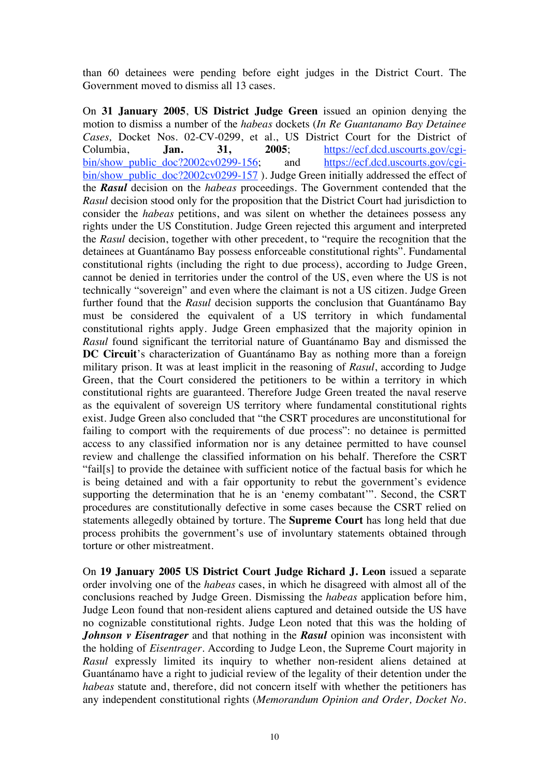than 60 detainees were pending before eight judges in the District Court. The Government moved to dismiss all 13 cases.

On **31 January 2005**, **US District Judge Green** issued an opinion denying the motion to dismiss a number of the *habeas* dockets (*In Re Guantanamo Bay Detainee Cases,* Docket Nos. 02-CV-0299, et al., US District Court for the District of Columbia, **Jan. 31, 2005**; https://ecf.dcd.uscourts.gov/cgibin/show\_public\_doc?2002cv0299-156; and https://ecf.dcd.uscourts.gov/cgibin/show\_public\_doc?2002cv0299-157 ). Judge Green initially addressed the effect of the *Rasul* decision on the *habeas* proceedings. The Government contended that the *Rasul* decision stood only for the proposition that the District Court had jurisdiction to consider the *habeas* petitions, and was silent on whether the detainees possess any rights under the US Constitution. Judge Green rejected this argument and interpreted the *Rasul* decision, together with other precedent, to "require the recognition that the detainees at Guantánamo Bay possess enforceable constitutional rights". Fundamental constitutional rights (including the right to due process), according to Judge Green, cannot be denied in territories under the control of the US, even where the US is not technically "sovereign" and even where the claimant is not a US citizen. Judge Green further found that the *Rasul* decision supports the conclusion that Guantánamo Bay must be considered the equivalent of a US territory in which fundamental constitutional rights apply. Judge Green emphasized that the majority opinion in *Rasul* found significant the territorial nature of Guantánamo Bay and dismissed the **DC Circuit**'s characterization of Guantánamo Bay as nothing more than a foreign military prison. It was at least implicit in the reasoning of *Rasul*, according to Judge Green, that the Court considered the petitioners to be within a territory in which constitutional rights are guaranteed. Therefore Judge Green treated the naval reserve as the equivalent of sovereign US territory where fundamental constitutional rights exist. Judge Green also concluded that "the CSRT procedures are unconstitutional for failing to comport with the requirements of due process": no detainee is permitted access to any classified information nor is any detainee permitted to have counsel review and challenge the classified information on his behalf. Therefore the CSRT "fail[s] to provide the detainee with sufficient notice of the factual basis for which he is being detained and with a fair opportunity to rebut the government's evidence supporting the determination that he is an 'enemy combatant'". Second, the CSRT procedures are constitutionally defective in some cases because the CSRT relied on statements allegedly obtained by torture. The **Supreme Court** has long held that due process prohibits the government's use of involuntary statements obtained through torture or other mistreatment.

On **19 January 2005 US District Court Judge Richard J. Leon** issued a separate order involving one of the *habeas* cases, in which he disagreed with almost all of the conclusions reached by Judge Green. Dismissing the *habeas* application before him, Judge Leon found that non-resident aliens captured and detained outside the US have no cognizable constitutional rights. Judge Leon noted that this was the holding of *Johnson v Eisentrager* and that nothing in the *Rasul* opinion was inconsistent with the holding of *Eisentrager*. According to Judge Leon, the Supreme Court majority in *Rasul* expressly limited its inquiry to whether non-resident aliens detained at Guantánamo have a right to judicial review of the legality of their detention under the *habeas* statute and, therefore, did not concern itself with whether the petitioners has any independent constitutional rights (*Memorandum Opinion and Order, Docket No.*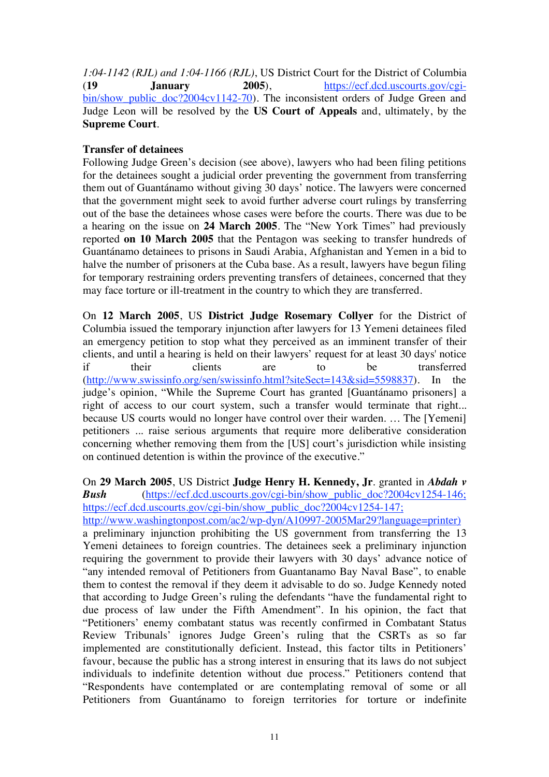*1:04-1142 (RJL) and 1:04-1166 (RJL)*, US District Court for the District of Columbia (**19 January 2005**), https://ecf.dcd.uscourts.gov/cgibin/show public doc?2004cv1142-70). The inconsistent orders of Judge Green and Judge Leon will be resolved by the **US Court of Appeals** and, ultimately, by the **Supreme Court**.

# **Transfer of detainees**

Following Judge Green's decision (see above), lawyers who had been filing petitions for the detainees sought a judicial order preventing the government from transferring them out of Guantánamo without giving 30 days' notice. The lawyers were concerned that the government might seek to avoid further adverse court rulings by transferring out of the base the detainees whose cases were before the courts. There was due to be a hearing on the issue on **24 March 2005**. The "New York Times" had previously reported **on 10 March 2005** that the Pentagon was seeking to transfer hundreds of Guantánamo detainees to prisons in Saudi Arabia, Afghanistan and Yemen in a bid to halve the number of prisoners at the Cuba base. As a result, lawyers have begun filing for temporary restraining orders preventing transfers of detainees, concerned that they may face torture or ill-treatment in the country to which they are transferred.

On **12 March 2005**, US **District Judge Rosemary Collyer** for the District of Columbia issued the temporary injunction after lawyers for 13 Yemeni detainees filed an emergency petition to stop what they perceived as an imminent transfer of their clients, and until a hearing is held on their lawyers' request for at least 30 days' notice if their clients are to be transferred (http://www.swissinfo.org/sen/swissinfo.html?siteSect=143&sid=5598837). In the judge's opinion, "While the Supreme Court has granted [Guantánamo prisoners] a right of access to our court system, such a transfer would terminate that right... because US courts would no longer have control over their warden. … The [Yemeni] petitioners ... raise serious arguments that require more deliberative consideration concerning whether removing them from the [US] court's jurisdiction while insisting on continued detention is within the province of the executive."

On **29 March 2005**, US District **Judge Henry H. Kennedy, Jr**. granted in *Abdah v Bush* (https://ecf.dcd.uscourts.gov/cgi-bin/show public doc?2004cv1254-146; https://ecf.dcd.uscourts.gov/cgi-bin/show\_public\_doc?2004cv1254-147;

http://www.washingtonpost.com/ac2/wp-dyn/A10997-2005Mar29?language=printer)

a preliminary injunction prohibiting the US government from transferring the 13 Yemeni detainees to foreign countries. The detainees seek a preliminary injunction requiring the government to provide their lawyers with 30 days' advance notice of "any intended removal of Petitioners from Guantanamo Bay Naval Base", to enable them to contest the removal if they deem it advisable to do so. Judge Kennedy noted that according to Judge Green's ruling the defendants "have the fundamental right to due process of law under the Fifth Amendment". In his opinion, the fact that "Petitioners' enemy combatant status was recently confirmed in Combatant Status Review Tribunals' ignores Judge Green's ruling that the CSRTs as so far implemented are constitutionally deficient. Instead, this factor tilts in Petitioners' favour, because the public has a strong interest in ensuring that its laws do not subject individuals to indefinite detention without due process." Petitioners contend that "Respondents have contemplated or are contemplating removal of some or all Petitioners from Guantánamo to foreign territories for torture or indefinite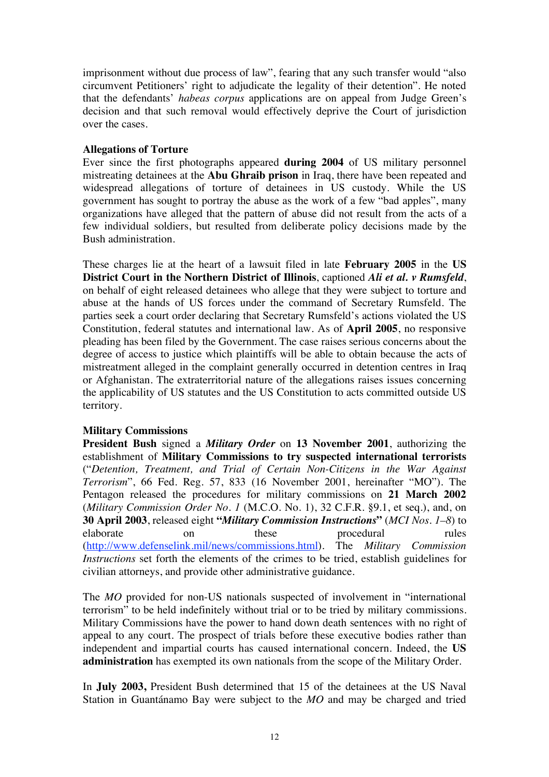imprisonment without due process of law", fearing that any such transfer would "also circumvent Petitioners' right to adjudicate the legality of their detention". He noted that the defendants' *habeas corpus* applications are on appeal from Judge Green's decision and that such removal would effectively deprive the Court of jurisdiction over the cases.

## **Allegations of Torture**

Ever since the first photographs appeared **during 2004** of US military personnel mistreating detainees at the **Abu Ghraib prison** in Iraq, there have been repeated and widespread allegations of torture of detainees in US custody. While the US government has sought to portray the abuse as the work of a few "bad apples", many organizations have alleged that the pattern of abuse did not result from the acts of a few individual soldiers, but resulted from deliberate policy decisions made by the Bush administration.

These charges lie at the heart of a lawsuit filed in late **February 2005** in the **US District Court in the Northern District of Illinois**, captioned *Ali et al. v Rumsfeld*, on behalf of eight released detainees who allege that they were subject to torture and abuse at the hands of US forces under the command of Secretary Rumsfeld. The parties seek a court order declaring that Secretary Rumsfeld's actions violated the US Constitution, federal statutes and international law. As of **April 2005**, no responsive pleading has been filed by the Government. The case raises serious concerns about the degree of access to justice which plaintiffs will be able to obtain because the acts of mistreatment alleged in the complaint generally occurred in detention centres in Iraq or Afghanistan. The extraterritorial nature of the allegations raises issues concerning the applicability of US statutes and the US Constitution to acts committed outside US territory.

# **Military Commissions**

**President Bush** signed a *Military Order* on **13 November 2001**, authorizing the establishment of **Military Commissions to try suspected international terrorists** ("*Detention, Treatment, and Trial of Certain Non-Citizens in the War Against Terrorism*", 66 Fed. Reg. 57, 833 (16 November 2001, hereinafter "MO"). The Pentagon released the procedures for military commissions on **21 March 2002**  (*Military Commission Order No. 1* (M.C.O. No. 1), 32 C.F.R. §9.1, et seq.), and, on **30 April 2003**, released eight **"***Military Commission Instructions***"** (*MCI Nos. 1–8*) to elaborate on these procedural rules (http://www.defenselink.mil/news/commissions.html). The *Military Commission Instructions* set forth the elements of the crimes to be tried, establish guidelines for civilian attorneys, and provide other administrative guidance.

The *MO* provided for non-US nationals suspected of involvement in "international terrorism" to be held indefinitely without trial or to be tried by military commissions. Military Commissions have the power to hand down death sentences with no right of appeal to any court. The prospect of trials before these executive bodies rather than independent and impartial courts has caused international concern. Indeed, the **US administration** has exempted its own nationals from the scope of the Military Order.

In **July 2003,** President Bush determined that 15 of the detainees at the US Naval Station in Guantánamo Bay were subject to the *MO* and may be charged and tried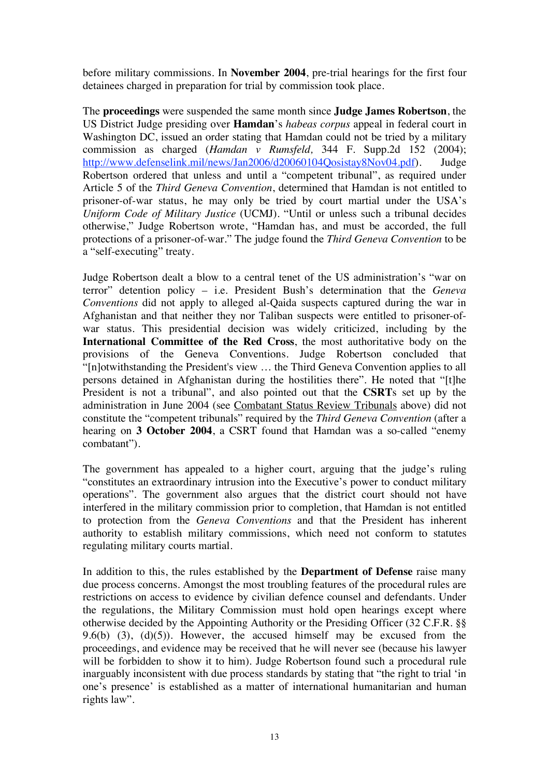before military commissions. In **November 2004**, pre-trial hearings for the first four detainees charged in preparation for trial by commission took place.

The **proceedings** were suspended the same month since **Judge James Robertson**, the US District Judge presiding over **Hamdan**'s *habeas corpus* appeal in federal court in Washington DC, issued an order stating that Hamdan could not be tried by a military commission as charged (*Hamdan v Rumsfeld,* 344 F. Supp.2d 152 (2004); http://www.defenselink.mil/news/Jan2006/d20060104Qosistay8Nov04.pdf). Judge Robertson ordered that unless and until a "competent tribunal", as required under Article 5 of the *Third Geneva Convention*, determined that Hamdan is not entitled to prisoner-of-war status, he may only be tried by court martial under the USA's *Uniform Code of Military Justice* (UCMJ). "Until or unless such a tribunal decides otherwise," Judge Robertson wrote, "Hamdan has, and must be accorded, the full protections of a prisoner-of-war." The judge found the *Third Geneva Convention* to be a "self-executing" treaty.

Judge Robertson dealt a blow to a central tenet of the US administration's "war on terror" detention policy – i.e. President Bush's determination that the *Geneva Conventions* did not apply to alleged al-Qaida suspects captured during the war in Afghanistan and that neither they nor Taliban suspects were entitled to prisoner-ofwar status. This presidential decision was widely criticized, including by the **International Committee of the Red Cross**, the most authoritative body on the provisions of the Geneva Conventions. Judge Robertson concluded that "[n]otwithstanding the President's view … the Third Geneva Convention applies to all persons detained in Afghanistan during the hostilities there". He noted that "[t]he President is not a tribunal", and also pointed out that the **CSRT**s set up by the administration in June 2004 (see Combatant Status Review Tribunals above) did not constitute the "competent tribunals" required by the *Third Geneva Convention* (after a hearing on **3 October 2004**, a CSRT found that Hamdan was a so-called "enemy combatant").

The government has appealed to a higher court, arguing that the judge's ruling "constitutes an extraordinary intrusion into the Executive's power to conduct military operations". The government also argues that the district court should not have interfered in the military commission prior to completion, that Hamdan is not entitled to protection from the *Geneva Conventions* and that the President has inherent authority to establish military commissions, which need not conform to statutes regulating military courts martial.

In addition to this, the rules established by the **Department of Defense** raise many due process concerns. Amongst the most troubling features of the procedural rules are restrictions on access to evidence by civilian defence counsel and defendants. Under the regulations, the Military Commission must hold open hearings except where otherwise decided by the Appointing Authority or the Presiding Officer (32 C.F.R. §§ 9.6(b) (3), (d)(5)). However, the accused himself may be excused from the proceedings, and evidence may be received that he will never see (because his lawyer will be forbidden to show it to him). Judge Robertson found such a procedural rule inarguably inconsistent with due process standards by stating that "the right to trial 'in one's presence' is established as a matter of international humanitarian and human rights law".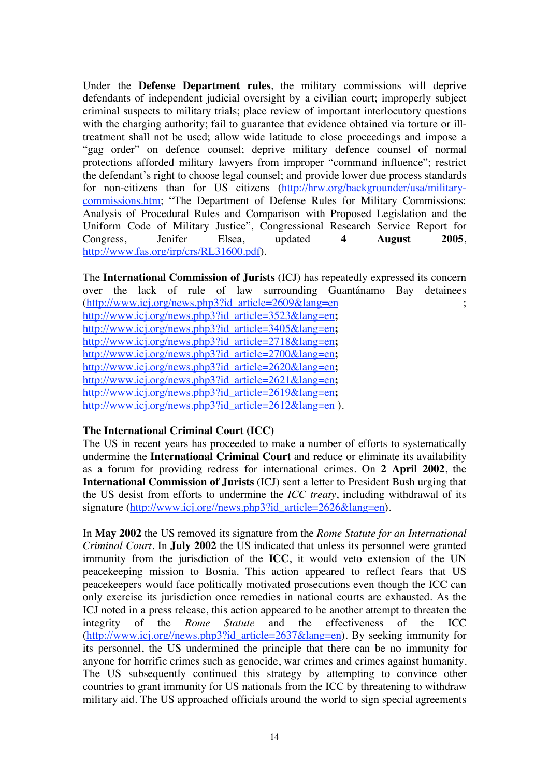Under the **Defense Department rules**, the military commissions will deprive defendants of independent judicial oversight by a civilian court; improperly subject criminal suspects to military trials; place review of important interlocutory questions with the charging authority; fail to guarantee that evidence obtained via torture or illtreatment shall not be used; allow wide latitude to close proceedings and impose a "gag order" on defence counsel; deprive military defence counsel of normal protections afforded military lawyers from improper "command influence"; restrict the defendant's right to choose legal counsel; and provide lower due process standards for non-citizens than for US citizens (http://hrw.org/backgrounder/usa/militarycommissions.htm; "The Department of Defense Rules for Military Commissions: Analysis of Procedural Rules and Comparison with Proposed Legislation and the Uniform Code of Military Justice", Congressional Research Service Report for Congress, Jenifer Elsea, updated **4 August 2005**, http://www.fas.org/irp/crs/RL31600.pdf).

The **International Commission of Jurists** (ICJ) has repeatedly expressed its concern over the lack of rule of law surrounding Guantánamo Bay detainees (http://www.icj.org/news.php3?id\_article=2609&lang=en ; http://www.icj.org/news.php3?id\_article=3523&lang=en**;**  http://www.icj.org/news.php3?id\_article=3405&lang=en**;**  http://www.icj.org/news.php3?id\_article=2718&lang=en**;**  http://www.icj.org/news.php3?id\_article=2700&lang=en**;**  http://www.icj.org/news.php3?id\_article=2620&lang=en**;**  http://www.icj.org/news.php3?id\_article=2621&lang=en**;**  http://www.icj.org/news.php3?id\_article=2619&lang=en**;**  http://www.icj.org/news.php3?id\_article=2612&lang=en ).

## **The International Criminal Court (ICC)**

The US in recent years has proceeded to make a number of efforts to systematically undermine the **International Criminal Court** and reduce or eliminate its availability as a forum for providing redress for international crimes. On **2 April 2002**, the **International Commission of Jurists** (ICJ) sent a letter to President Bush urging that the US desist from efforts to undermine the *ICC treaty*, including withdrawal of its signature (http://www.icj.org//news.php3?id\_article=2626&lang=en).

In **May 2002** the US removed its signature from the *Rome Statute for an International Criminal Court*. In **July 2002** the US indicated that unless its personnel were granted immunity from the jurisdiction of the **ICC**, it would veto extension of the UN peacekeeping mission to Bosnia. This action appeared to reflect fears that US peacekeepers would face politically motivated prosecutions even though the ICC can only exercise its jurisdiction once remedies in national courts are exhausted. As the ICJ noted in a press release, this action appeared to be another attempt to threaten the integrity of the *Rome Statute* and the effectiveness of the ICC (http://www.icj.org//news.php3?id\_article=2637&lang=en). By seeking immunity for its personnel, the US undermined the principle that there can be no immunity for anyone for horrific crimes such as genocide, war crimes and crimes against humanity. The US subsequently continued this strategy by attempting to convince other countries to grant immunity for US nationals from the ICC by threatening to withdraw military aid. The US approached officials around the world to sign special agreements